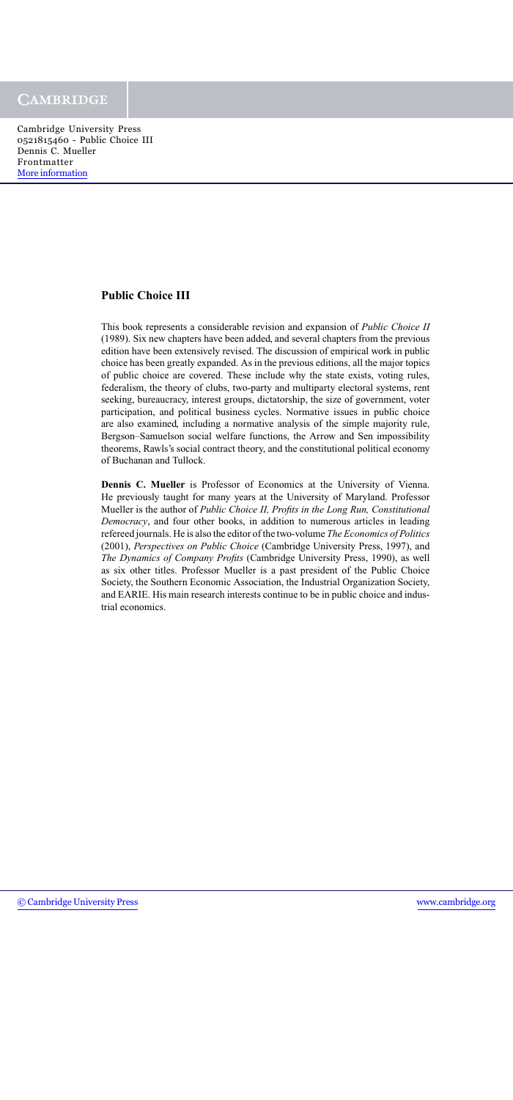#### **Public Choice III**

This book represents a considerable revision and expansion of *Public Choice II* (1989). Six new chapters have been added, and several chapters from the previous edition have been extensively revised. The discussion of empirical work in public choice has been greatly expanded. As in the previous editions, all the major topics of public choice are covered. These include why the state exists, voting rules, federalism, the theory of clubs, two-party and multiparty electoral systems, rent seeking, bureaucracy, interest groups, dictatorship, the size of government, voter participation, and political business cycles. Normative issues in public choice are also examined, including a normative analysis of the simple majority rule, Bergson–Samuelson social welfare functions, the Arrow and Sen impossibility theorems, Rawls's social contract theory, and the constitutional political economy of Buchanan and Tullock.

**Dennis C. Mueller** is Professor of Economics at the University of Vienna. He previously taught for many years at the University of Maryland. Professor Mueller is the author of *Public Choice II, Profits in the Long Run, Constitutional Democracy*, and four other books, in addition to numerous articles in leading refereed journals. He is also the editor of the two-volume *The Economics of Politics* (2001), *Perspectives on Public Choice* (Cambridge University Press, 1997), and *The Dynamics of Company Profits* (Cambridge University Press, 1990), as well as six other titles. Professor Mueller is a past president of the Public Choice Society, the Southern Economic Association, the Industrial Organization Society, and EARIE. His main research interests continue to be in public choice and industrial economics.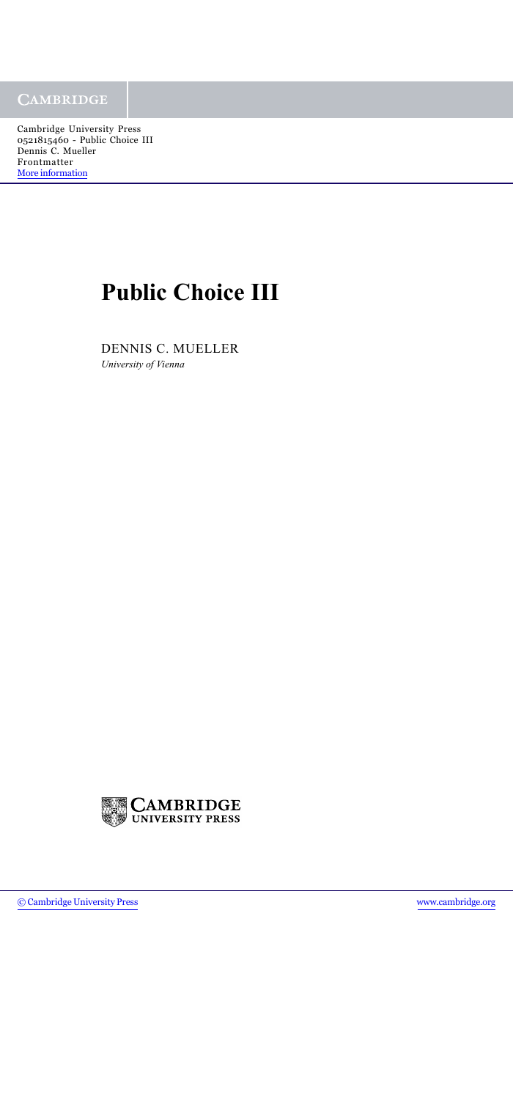# **Public Choice III**

DENNIS C. MUELLER *University of Vienna*

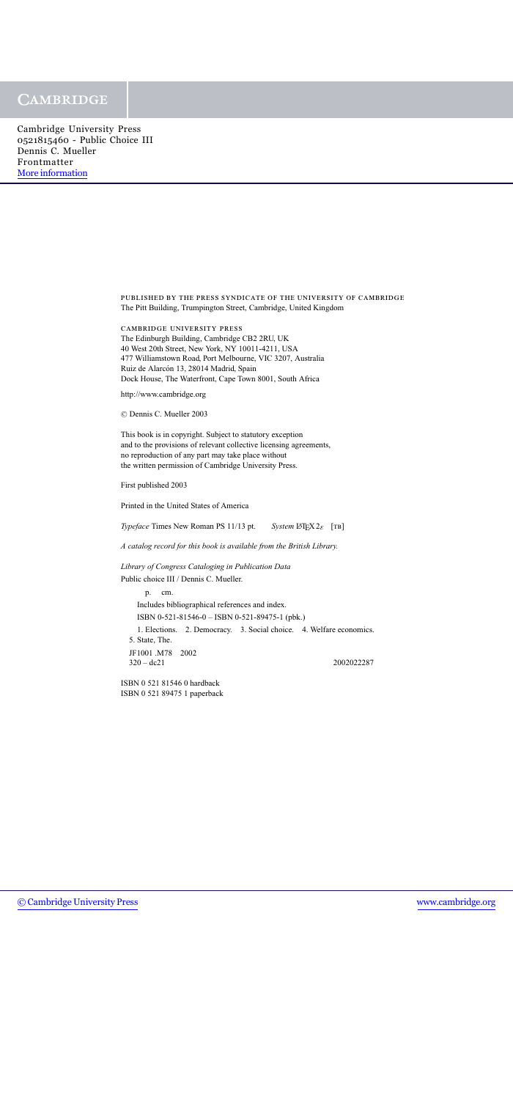> PUBLISHED BY THE PRESS SYNDICATE OF THE UNIVERSITY OF CAMBRIDGE The Pitt Building, Trumpington Street, Cambridge, United Kingdom

CAMBRIDGE UNIVERSITY PRESS The Edinburgh Building, Cambridge CB2 2RU, UK 40 West 20th Street, New York, NY 10011-4211, USA 477 Williamstown Road, Port Melbourne, VIC 3207, Australia Ruiz de Alarcón 13, 28014 Madrid, Spain Dock House, The Waterfront, Cape Town 8001, South Africa

http://www.cambridge.org

<sup>C</sup> Dennis C. Mueller 2003

This book is in copyright. Subject to statutory exception and to the provisions of relevant collective licensing agreements, no reproduction of any part may take place without the written permission of Cambridge University Press.

First published 2003

Printed in the United States of America

*Typeface* Times New Roman PS 11/13 pt. *System* LATEX 2<sub>ε</sub> [TB]

*A catalog record for this book is available from the British Library.*

*Library of Congress Cataloging in Publication Data*

Public choice III / Dennis C. Mueller. p. cm.

Includes bibliographical references and index. ISBN 0-521-81546-0 – ISBN 0-521-89475-1 (pbk.) 1. Elections. 2. Democracy. 3. Social choice. 4. Welfare economics. 5. State, The. JF1001 .M78 2002 320 – dc21 2002022287

ISBN 0521 81546 0hardback ISBN 0521 89475 1 paperback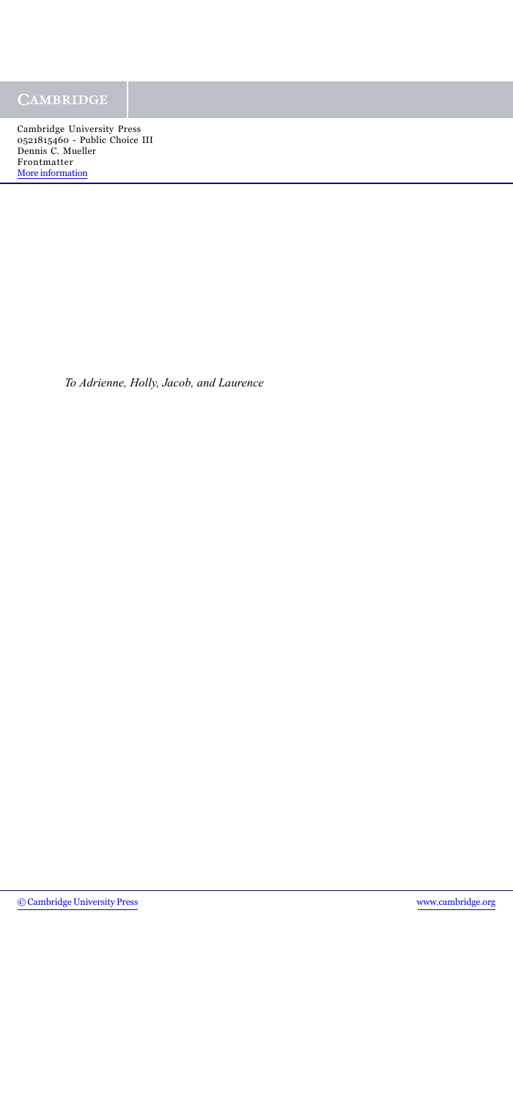*To Adrienne, Holly, Jacob, and Laurence*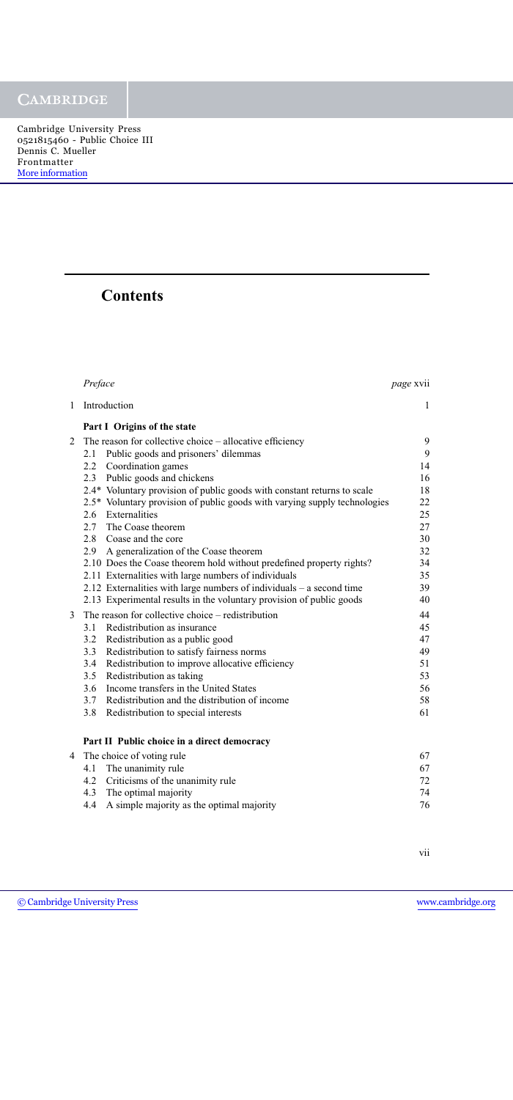## **Contents**

| Introduction<br>1<br>1<br>Part I Origins of the state<br>The reason for collective choice - allocative efficiency<br>9<br>2<br>9<br>Public goods and prisoners' dilemmas<br>2.1<br>Coordination games<br>14<br>2.2<br>Public goods and chickens<br>16<br>2.3<br>2.4* Voluntary provision of public goods with constant returns to scale<br>18<br>2.5* Voluntary provision of public goods with varying supply technologies<br>22<br>2.6<br>Externalities<br>25<br>2.7 The Coase theorem<br>27<br>2.8 Coase and the core<br>30<br>32<br>2.9<br>A generalization of the Coase theorem<br>2.10 Does the Coase theorem hold without predefined property rights?<br>34<br>35<br>2.11 Externalities with large numbers of individuals<br>2.12 Externalities with large numbers of individuals $-$ a second time<br>39<br>2.13 Experimental results in the voluntary provision of public goods<br>40<br>The reason for collective choice – redistribution<br>44<br>3<br>Redistribution as insurance<br>3.1<br>45<br>47<br>3.2<br>Redistribution as a public good<br>Redistribution to satisfy fairness norms<br>49<br>3.3<br>Redistribution to improve allocative efficiency<br>51<br>3.4<br>53<br>3.5<br>Redistribution as taking<br>Income transfers in the United States<br>3.6<br>56<br>3.7<br>Redistribution and the distribution of income<br>58 |
|-------------------------------------------------------------------------------------------------------------------------------------------------------------------------------------------------------------------------------------------------------------------------------------------------------------------------------------------------------------------------------------------------------------------------------------------------------------------------------------------------------------------------------------------------------------------------------------------------------------------------------------------------------------------------------------------------------------------------------------------------------------------------------------------------------------------------------------------------------------------------------------------------------------------------------------------------------------------------------------------------------------------------------------------------------------------------------------------------------------------------------------------------------------------------------------------------------------------------------------------------------------------------------------------------------------------------------------------------|
|                                                                                                                                                                                                                                                                                                                                                                                                                                                                                                                                                                                                                                                                                                                                                                                                                                                                                                                                                                                                                                                                                                                                                                                                                                                                                                                                                 |
|                                                                                                                                                                                                                                                                                                                                                                                                                                                                                                                                                                                                                                                                                                                                                                                                                                                                                                                                                                                                                                                                                                                                                                                                                                                                                                                                                 |
|                                                                                                                                                                                                                                                                                                                                                                                                                                                                                                                                                                                                                                                                                                                                                                                                                                                                                                                                                                                                                                                                                                                                                                                                                                                                                                                                                 |
|                                                                                                                                                                                                                                                                                                                                                                                                                                                                                                                                                                                                                                                                                                                                                                                                                                                                                                                                                                                                                                                                                                                                                                                                                                                                                                                                                 |
|                                                                                                                                                                                                                                                                                                                                                                                                                                                                                                                                                                                                                                                                                                                                                                                                                                                                                                                                                                                                                                                                                                                                                                                                                                                                                                                                                 |
|                                                                                                                                                                                                                                                                                                                                                                                                                                                                                                                                                                                                                                                                                                                                                                                                                                                                                                                                                                                                                                                                                                                                                                                                                                                                                                                                                 |
|                                                                                                                                                                                                                                                                                                                                                                                                                                                                                                                                                                                                                                                                                                                                                                                                                                                                                                                                                                                                                                                                                                                                                                                                                                                                                                                                                 |
|                                                                                                                                                                                                                                                                                                                                                                                                                                                                                                                                                                                                                                                                                                                                                                                                                                                                                                                                                                                                                                                                                                                                                                                                                                                                                                                                                 |
|                                                                                                                                                                                                                                                                                                                                                                                                                                                                                                                                                                                                                                                                                                                                                                                                                                                                                                                                                                                                                                                                                                                                                                                                                                                                                                                                                 |
|                                                                                                                                                                                                                                                                                                                                                                                                                                                                                                                                                                                                                                                                                                                                                                                                                                                                                                                                                                                                                                                                                                                                                                                                                                                                                                                                                 |
|                                                                                                                                                                                                                                                                                                                                                                                                                                                                                                                                                                                                                                                                                                                                                                                                                                                                                                                                                                                                                                                                                                                                                                                                                                                                                                                                                 |
|                                                                                                                                                                                                                                                                                                                                                                                                                                                                                                                                                                                                                                                                                                                                                                                                                                                                                                                                                                                                                                                                                                                                                                                                                                                                                                                                                 |
|                                                                                                                                                                                                                                                                                                                                                                                                                                                                                                                                                                                                                                                                                                                                                                                                                                                                                                                                                                                                                                                                                                                                                                                                                                                                                                                                                 |
|                                                                                                                                                                                                                                                                                                                                                                                                                                                                                                                                                                                                                                                                                                                                                                                                                                                                                                                                                                                                                                                                                                                                                                                                                                                                                                                                                 |
|                                                                                                                                                                                                                                                                                                                                                                                                                                                                                                                                                                                                                                                                                                                                                                                                                                                                                                                                                                                                                                                                                                                                                                                                                                                                                                                                                 |
|                                                                                                                                                                                                                                                                                                                                                                                                                                                                                                                                                                                                                                                                                                                                                                                                                                                                                                                                                                                                                                                                                                                                                                                                                                                                                                                                                 |
|                                                                                                                                                                                                                                                                                                                                                                                                                                                                                                                                                                                                                                                                                                                                                                                                                                                                                                                                                                                                                                                                                                                                                                                                                                                                                                                                                 |
|                                                                                                                                                                                                                                                                                                                                                                                                                                                                                                                                                                                                                                                                                                                                                                                                                                                                                                                                                                                                                                                                                                                                                                                                                                                                                                                                                 |
|                                                                                                                                                                                                                                                                                                                                                                                                                                                                                                                                                                                                                                                                                                                                                                                                                                                                                                                                                                                                                                                                                                                                                                                                                                                                                                                                                 |
|                                                                                                                                                                                                                                                                                                                                                                                                                                                                                                                                                                                                                                                                                                                                                                                                                                                                                                                                                                                                                                                                                                                                                                                                                                                                                                                                                 |
|                                                                                                                                                                                                                                                                                                                                                                                                                                                                                                                                                                                                                                                                                                                                                                                                                                                                                                                                                                                                                                                                                                                                                                                                                                                                                                                                                 |
|                                                                                                                                                                                                                                                                                                                                                                                                                                                                                                                                                                                                                                                                                                                                                                                                                                                                                                                                                                                                                                                                                                                                                                                                                                                                                                                                                 |
|                                                                                                                                                                                                                                                                                                                                                                                                                                                                                                                                                                                                                                                                                                                                                                                                                                                                                                                                                                                                                                                                                                                                                                                                                                                                                                                                                 |
|                                                                                                                                                                                                                                                                                                                                                                                                                                                                                                                                                                                                                                                                                                                                                                                                                                                                                                                                                                                                                                                                                                                                                                                                                                                                                                                                                 |
| 3.8<br>61<br>Redistribution to special interests                                                                                                                                                                                                                                                                                                                                                                                                                                                                                                                                                                                                                                                                                                                                                                                                                                                                                                                                                                                                                                                                                                                                                                                                                                                                                                |
| Part II Public choice in a direct democracy                                                                                                                                                                                                                                                                                                                                                                                                                                                                                                                                                                                                                                                                                                                                                                                                                                                                                                                                                                                                                                                                                                                                                                                                                                                                                                     |
| The choice of voting rule<br>67<br>4                                                                                                                                                                                                                                                                                                                                                                                                                                                                                                                                                                                                                                                                                                                                                                                                                                                                                                                                                                                                                                                                                                                                                                                                                                                                                                            |
| The unanimity rule<br>67<br>4.1                                                                                                                                                                                                                                                                                                                                                                                                                                                                                                                                                                                                                                                                                                                                                                                                                                                                                                                                                                                                                                                                                                                                                                                                                                                                                                                 |
| 4.2 Criticisms of the unanimity rule<br>72                                                                                                                                                                                                                                                                                                                                                                                                                                                                                                                                                                                                                                                                                                                                                                                                                                                                                                                                                                                                                                                                                                                                                                                                                                                                                                      |
| 4.3<br>The optimal majority<br>74                                                                                                                                                                                                                                                                                                                                                                                                                                                                                                                                                                                                                                                                                                                                                                                                                                                                                                                                                                                                                                                                                                                                                                                                                                                                                                               |
| 4.4<br>A simple majority as the optimal majority<br>76                                                                                                                                                                                                                                                                                                                                                                                                                                                                                                                                                                                                                                                                                                                                                                                                                                                                                                                                                                                                                                                                                                                                                                                                                                                                                          |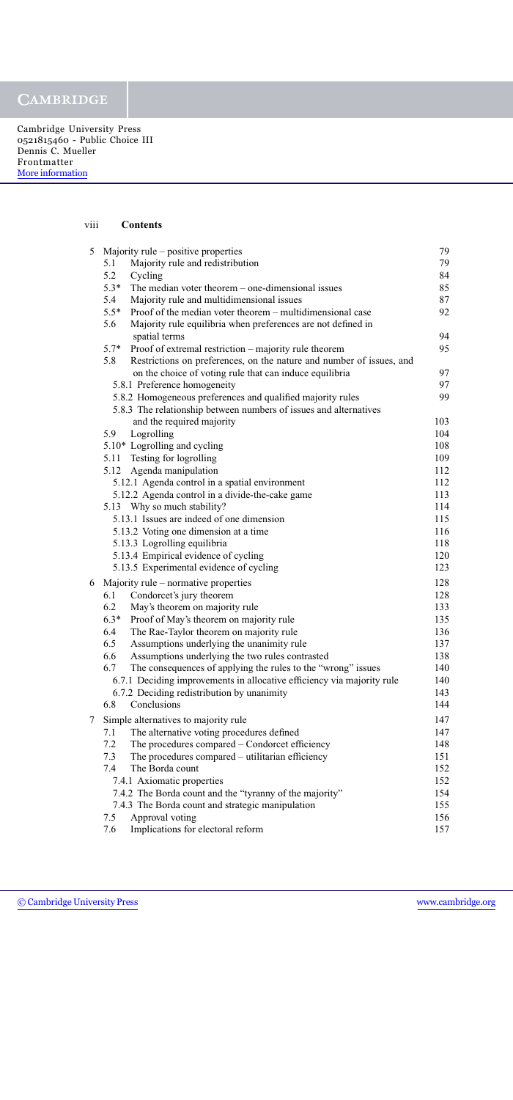#### viii **Contents**

| 5 |                                                 | Majority rule $-$ positive properties                                  | 79  |
|---|-------------------------------------------------|------------------------------------------------------------------------|-----|
|   | 5.1                                             | Majority rule and redistribution                                       | 79  |
|   | 5.2                                             | Cycling                                                                | 84  |
|   | $5.3*$                                          | The median voter theorem $-$ one-dimensional issues                    | 85  |
|   | 5.4                                             | Majority rule and multidimensional issues                              | 87  |
|   | $5.5*$                                          | Proof of the median voter theorem – multidimensional case              | 92  |
|   | 5.6                                             | Majority rule equilibria when preferences are not defined in           |     |
|   |                                                 | spatial terms                                                          | 94  |
|   | $5.7*$                                          | Proof of extremal restriction – majority rule theorem                  | 95  |
|   | 5.8                                             | Restrictions on preferences, on the nature and number of issues, and   |     |
|   |                                                 | on the choice of voting rule that can induce equilibria                | 97  |
|   |                                                 | 5.8.1 Preference homogeneity                                           | 97  |
|   |                                                 | 5.8.2 Homogeneous preferences and qualified majority rules             | 99  |
|   |                                                 | 5.8.3 The relationship between numbers of issues and alternatives      |     |
|   |                                                 | and the required majority                                              | 103 |
|   | 5.9                                             | Logrolling                                                             | 104 |
|   |                                                 | 5.10* Logrolling and cycling                                           | 108 |
|   |                                                 | 5.11 Testing for logrolling                                            | 109 |
|   |                                                 | 5.12 Agenda manipulation                                               | 112 |
|   |                                                 | 5.12.1 Agenda control in a spatial environment                         | 112 |
|   | 5.12.2 Agenda control in a divide-the-cake game |                                                                        |     |
|   |                                                 | 5.13 Why so much stability?                                            | 114 |
|   |                                                 | 5.13.1 Issues are indeed of one dimension                              | 115 |
|   |                                                 | 5.13.2 Voting one dimension at a time                                  | 116 |
|   |                                                 | 5.13.3 Logrolling equilibria                                           | 118 |
|   |                                                 | 5.13.4 Empirical evidence of cycling                                   | 120 |
|   |                                                 | 5.13.5 Experimental evidence of cycling                                | 123 |
| 6 |                                                 | Majority rule – normative properties                                   | 128 |
|   | 6.1                                             | Condorcet's jury theorem                                               | 128 |
|   | 6.2                                             | May's theorem on majority rule                                         | 133 |
|   | $6.3*$                                          | Proof of May's theorem on majority rule                                | 135 |
|   | 6.4                                             | The Rae-Taylor theorem on majority rule                                | 136 |
|   | 6.5                                             | Assumptions underlying the unanimity rule                              | 137 |
|   | 6.6                                             | Assumptions underlying the two rules contrasted                        | 138 |
|   | 6.7                                             | The consequences of applying the rules to the "wrong" issues           | 140 |
|   |                                                 | 6.7.1 Deciding improvements in allocative efficiency via majority rule | 140 |
|   |                                                 | 6.7.2 Deciding redistribution by unanimity                             | 143 |
|   | 6.8                                             | Conclusions                                                            | 144 |
|   |                                                 |                                                                        |     |
| 7 |                                                 | Simple alternatives to majority rule                                   | 147 |
|   | 7.1                                             | The alternative voting procedures defined                              | 147 |
|   | 7.2                                             | The procedures compared - Condorcet efficiency                         | 148 |
|   | 7.3                                             | The procedures compared - utilitarian efficiency                       | 151 |
|   | 7.4                                             | The Borda count                                                        | 152 |
|   |                                                 | 7.4.1 Axiomatic properties                                             | 152 |
|   |                                                 | 7.4.2 The Borda count and the "tyranny of the majority"                | 154 |
|   |                                                 | 7.4.3 The Borda count and strategic manipulation                       | 155 |
|   | 7.5                                             | Approval voting                                                        | 156 |
|   | 7.6                                             | Implications for electoral reform                                      | 157 |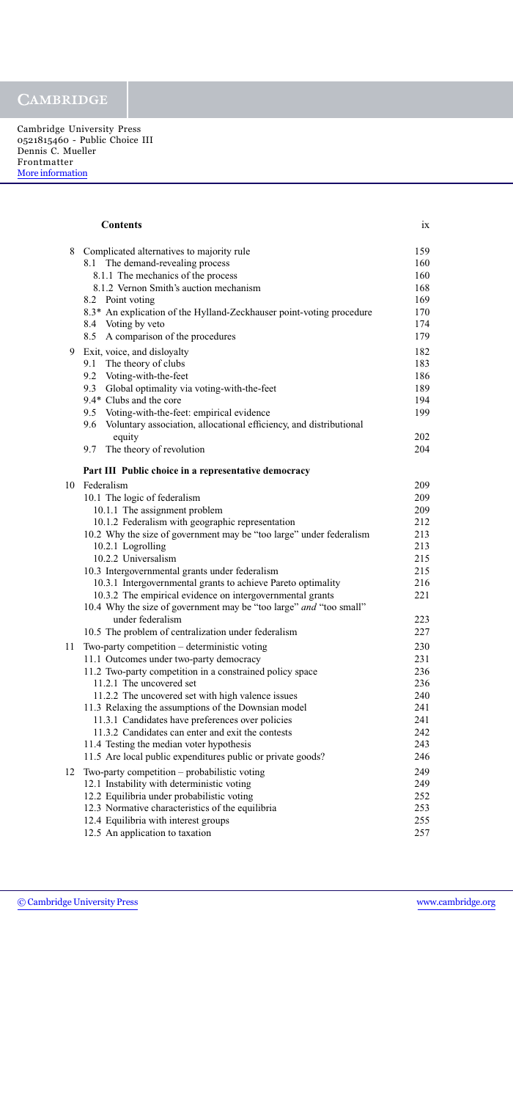|    | <b>Contents</b>                                                                                       | 1X         |
|----|-------------------------------------------------------------------------------------------------------|------------|
|    | 8 Complicated alternatives to majority rule                                                           | 159        |
|    | 8.1 The demand-revealing process                                                                      | 160        |
|    | 8.1.1 The mechanics of the process                                                                    | 160        |
|    | 8.1.2 Vernon Smith's auction mechanism                                                                | 168        |
|    | 8.2 Point voting                                                                                      | 169        |
|    | 8.3* An explication of the Hylland-Zeckhauser point-voting procedure                                  | 170        |
|    | 8.4 Voting by veto                                                                                    | 174        |
|    | A comparison of the procedures<br>8.5                                                                 | 179        |
| 9  | Exit, voice, and disloyalty                                                                           | 182        |
|    | The theory of clubs<br>9.1                                                                            | 183        |
|    | 9.2 Voting-with-the-feet                                                                              | 186        |
|    | Global optimality via voting-with-the-feet<br>9.3                                                     | 189        |
|    | 9.4* Clubs and the core                                                                               | 194        |
|    | 9.5 Voting-with-the-feet: empirical evidence                                                          | 199        |
|    | 9.6<br>Voluntary association, allocational efficiency, and distributional                             |            |
|    | equity                                                                                                | 202        |
|    | 9.7 The theory of revolution                                                                          | 204        |
|    | Part III Public choice in a representative democracy                                                  |            |
| 10 | Federalism                                                                                            | 209        |
|    | 10.1 The logic of federalism                                                                          | 209        |
|    | 10.1.1 The assignment problem                                                                         | 209        |
|    | 10.1.2 Federalism with geographic representation                                                      | 212        |
|    | 10.2 Why the size of government may be "too large" under federalism                                   | 213        |
|    | 10.2.1 Logrolling                                                                                     | 213        |
|    | 10.2.2 Universalism                                                                                   | 215        |
|    | 10.3 Intergovernmental grants under federalism                                                        | 215        |
|    | 10.3.1 Intergovernmental grants to achieve Pareto optimality                                          | 216        |
|    | 10.3.2 The empirical evidence on intergovernmental grants                                             | 221        |
|    | 10.4 Why the size of government may be "too large" and "too small"                                    |            |
|    | under federalism                                                                                      | 223        |
|    | 10.5 The problem of centralization under federalism                                                   | 227        |
| 11 | Two-party competition $-$ deterministic voting                                                        | 230        |
|    | 11.1 Outcomes under two-party democracy                                                               | 231        |
|    | 11.2 Two-party competition in a constrained policy space                                              | 236        |
|    | 11.2.1 The uncovered set                                                                              | 236        |
|    | 11.2.2 The uncovered set with high valence issues                                                     | 240        |
|    | 11.3 Relaxing the assumptions of the Downsian model                                                   | 241        |
|    | 11.3.1 Candidates have preferences over policies<br>11.3.2 Candidates can enter and exit the contests | 241<br>242 |
|    | 11.4 Testing the median voter hypothesis                                                              | 243        |
|    | 11.5 Are local public expenditures public or private goods?                                           | 246        |
|    | Two-party competition $-$ probabilistic voting                                                        | 249        |
| 12 | 12.1 Instability with deterministic voting                                                            | 249        |
|    | 12.2 Equilibria under probabilistic voting                                                            | 252        |
|    | 12.3 Normative characteristics of the equilibria                                                      | 253        |
|    | 12.4 Equilibria with interest groups                                                                  | 255        |
|    |                                                                                                       |            |

12.5 An application to taxation 257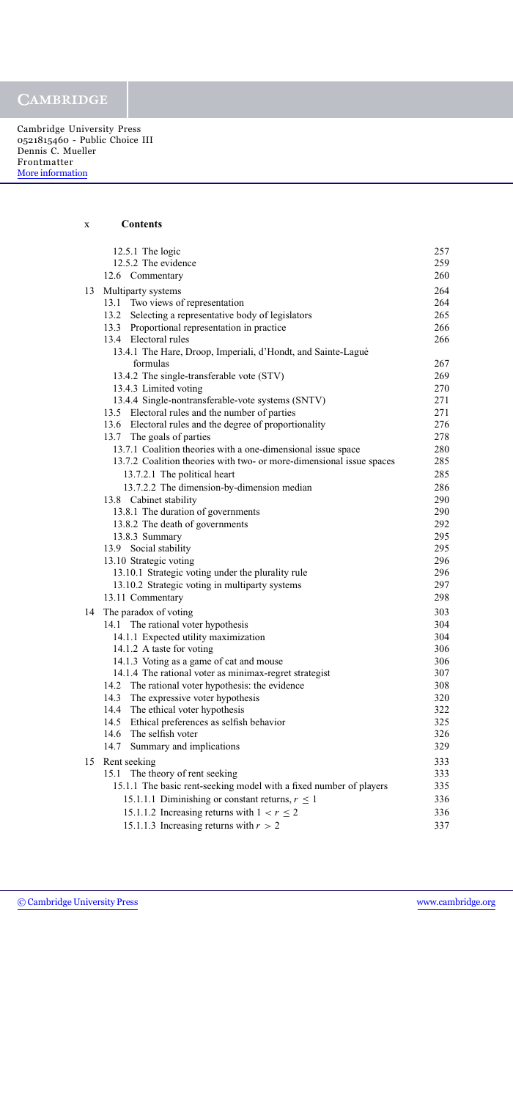#### x **Contents**

|    | 12.5.1 The logic                                                     | 257 |
|----|----------------------------------------------------------------------|-----|
|    | 12.5.2 The evidence                                                  | 259 |
|    | 12.6 Commentary                                                      | 260 |
| 13 | Multiparty systems                                                   | 264 |
|    | 13.1 Two views of representation                                     | 264 |
|    | 13.2 Selecting a representative body of legislators                  | 265 |
|    | 13.3 Proportional representation in practice                         | 266 |
|    | 13.4 Electoral rules                                                 | 266 |
|    | 13.4.1 The Hare, Droop, Imperiali, d'Hondt, and Sainte-Lagué         |     |
|    | formulas                                                             | 267 |
|    | 13.4.2 The single-transferable vote (STV)                            | 269 |
|    | 13.4.3 Limited voting                                                | 270 |
|    | 13.4.4 Single-nontransferable-vote systems (SNTV)                    | 271 |
|    | 13.5 Electoral rules and the number of parties                       | 271 |
|    | 13.6 Electoral rules and the degree of proportionality               | 276 |
|    | 13.7 The goals of parties                                            | 278 |
|    | 13.7.1 Coalition theories with a one-dimensional issue space         | 280 |
|    | 13.7.2 Coalition theories with two- or more-dimensional issue spaces | 285 |
|    | 13.7.2.1 The political heart                                         | 285 |
|    | 13.7.2.2 The dimension-by-dimension median                           | 286 |
|    | 13.8 Cabinet stability                                               | 290 |
|    | 13.8.1 The duration of governments                                   | 290 |
|    | 13.8.2 The death of governments                                      | 292 |
|    | 13.8.3 Summary                                                       | 295 |
|    | 13.9 Social stability                                                | 295 |
|    | 13.10 Strategic voting                                               | 296 |
|    | 13.10.1 Strategic voting under the plurality rule                    | 296 |
|    | 13.10.2 Strategic voting in multiparty systems                       | 297 |
|    | 13.11 Commentary                                                     | 298 |
| 14 | The paradox of voting                                                | 303 |
|    | 14.1 The rational voter hypothesis                                   | 304 |
|    | 14.1.1 Expected utility maximization                                 | 304 |
|    | 14.1.2 A taste for voting                                            | 306 |
|    | 14.1.3 Voting as a game of cat and mouse                             | 306 |
|    | 14.1.4 The rational voter as minimax-regret strategist               | 307 |
|    | 14.2 The rational voter hypothesis: the evidence                     | 308 |
|    | The expressive voter hypothesis<br>14.3                              | 320 |
|    | The ethical voter hypothesis<br>14.4                                 | 322 |
|    | 14.5<br>Ethical preferences as selfish behavior                      | 325 |
|    | 14.6<br>The selfish voter                                            | 326 |
|    | 14.7<br>Summary and implications                                     | 329 |
| 15 | Rent seeking                                                         | 333 |
|    | The theory of rent seeking<br>15.1                                   | 333 |
|    | 15.1.1 The basic rent-seeking model with a fixed number of players   | 335 |
|    | 15.1.1.1 Diminishing or constant returns, $r \le 1$                  | 336 |
|    | 15.1.1.2 Increasing returns with $1 < r \le 2$                       | 336 |
|    |                                                                      |     |
|    | 15.1.1.3 Increasing returns with $r > 2$                             | 337 |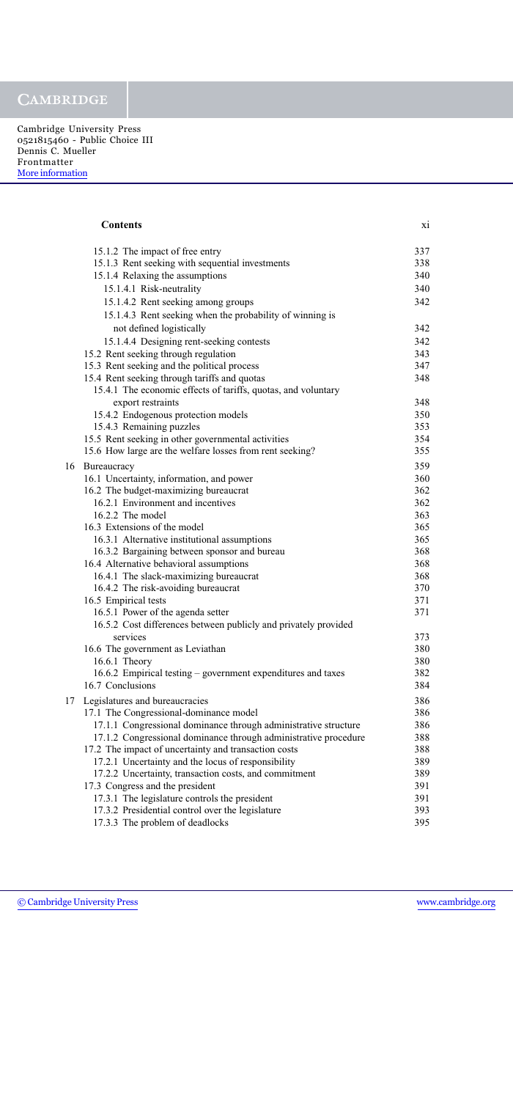|    | <b>Contents</b>                                                                   | X1         |
|----|-----------------------------------------------------------------------------------|------------|
|    | 15.1.2 The impact of free entry                                                   | 337        |
|    | 15.1.3 Rent seeking with sequential investments                                   | 338        |
|    | 15.1.4 Relaxing the assumptions                                                   | 340        |
|    | 15.1.4.1 Risk-neutrality                                                          | 340        |
|    | 15.1.4.2 Rent seeking among groups                                                | 342        |
|    | 15.1.4.3 Rent seeking when the probability of winning is                          |            |
|    | not defined logistically                                                          | 342        |
|    | 15.1.4.4 Designing rent-seeking contests                                          | 342        |
|    | 15.2 Rent seeking through regulation                                              | 343        |
|    | 15.3 Rent seeking and the political process                                       | 347        |
|    | 15.4 Rent seeking through tariffs and quotas                                      | 348        |
|    | 15.4.1 The economic effects of tariffs, quotas, and voluntary                     |            |
|    | export restraints                                                                 | 348        |
|    | 15.4.2 Endogenous protection models                                               | 350        |
|    | 15.4.3 Remaining puzzles                                                          | 353        |
|    | 15.5 Rent seeking in other governmental activities                                | 354        |
|    | 15.6 How large are the welfare losses from rent seeking?                          | 355        |
| 16 | Bureaucracy                                                                       | 359        |
|    | 16.1 Uncertainty, information, and power                                          | 360        |
|    | 16.2 The budget-maximizing bureaucrat                                             | 362        |
|    | 16.2.1 Environment and incentives                                                 | 362        |
|    | 16.2.2 The model                                                                  | 363        |
|    | 16.3 Extensions of the model                                                      | 365        |
|    | 16.3.1 Alternative institutional assumptions                                      | 365        |
|    | 16.3.2 Bargaining between sponsor and bureau                                      | 368        |
|    | 16.4 Alternative behavioral assumptions<br>16.4.1 The slack-maximizing bureaucrat | 368<br>368 |
|    | 16.4.2 The risk-avoiding bureaucrat                                               | 370        |
|    | 16.5 Empirical tests                                                              | 371        |
|    | 16.5.1 Power of the agenda setter                                                 | 371        |
|    | 16.5.2 Cost differences between publicly and privately provided                   |            |
|    | services                                                                          | 373        |
|    | 16.6 The government as Leviathan                                                  | 380        |
|    | 16.6.1 Theory                                                                     | 380        |
|    | 16.6.2 Empirical testing - government expenditures and taxes                      | 382        |
|    | 16.7 Conclusions                                                                  | 384        |
| 17 | Legislatures and bureaucracies                                                    | 386        |
|    | 17.1 The Congressional-dominance model                                            | 386        |
|    | 17.1.1 Congressional dominance through administrative structure                   | 386        |
|    | 17.1.2 Congressional dominance through administrative procedure                   | 388        |
|    | 17.2 The impact of uncertainty and transaction costs                              | 388        |
|    | 17.2.1 Uncertainty and the locus of responsibility                                | 389        |
|    | 17.2.2 Uncertainty, transaction costs, and commitment                             | 389        |
|    | 17.3 Congress and the president                                                   | 391        |
|    | 17.3.1 The legislature controls the president                                     | 391        |
|    | 17.3.2 Presidential control over the legislature                                  | 393        |
|    | 17.3.3 The problem of deadlocks                                                   | 395        |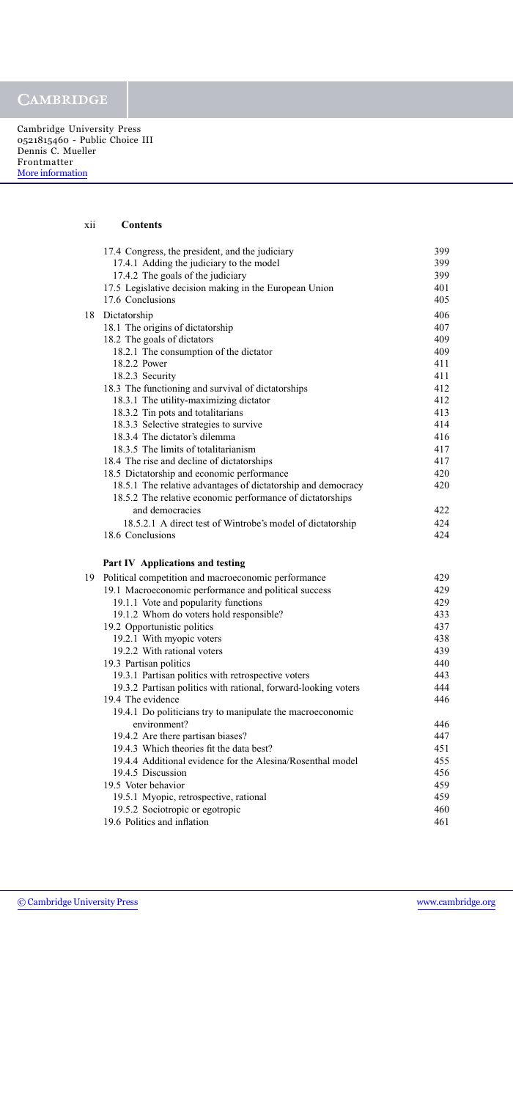#### xii **Contents**

|    | 17.4 Congress, the president, and the judiciary                | 399 |
|----|----------------------------------------------------------------|-----|
|    | 17.4.1 Adding the judiciary to the model                       | 399 |
|    | 17.4.2 The goals of the judiciary                              | 399 |
|    | 17.5 Legislative decision making in the European Union         | 401 |
|    | 17.6 Conclusions                                               | 405 |
| 18 | Dictatorship                                                   | 406 |
|    | 18.1 The origins of dictatorship                               | 407 |
|    | 18.2 The goals of dictators                                    | 409 |
|    | 18.2.1 The consumption of the dictator                         | 409 |
|    | 18.2.2 Power                                                   | 411 |
|    | 18.2.3 Security                                                | 411 |
|    | 18.3 The functioning and survival of dictatorships             | 412 |
|    | 18.3.1 The utility-maximizing dictator                         | 412 |
|    | 18.3.2 Tin pots and totalitarians                              | 413 |
|    | 18.3.3 Selective strategies to survive                         | 414 |
|    | 18.3.4 The dictator's dilemma                                  | 416 |
|    | 18.3.5 The limits of totalitarianism                           | 417 |
|    | 18.4 The rise and decline of dictatorships                     | 417 |
|    | 18.5 Dictatorship and economic performance                     | 420 |
|    | 18.5.1 The relative advantages of dictatorship and democracy   | 420 |
|    | 18.5.2 The relative economic performance of dictatorships      |     |
|    | and democracies                                                | 422 |
|    | 18.5.2.1 A direct test of Wintrobe's model of dictatorship     | 424 |
|    | 18.6 Conclusions                                               | 424 |
|    |                                                                |     |
|    | Part IV Applications and testing                               |     |
| 19 | Political competition and macroeconomic performance            | 429 |
|    | 19.1 Macroeconomic performance and political success           | 429 |
|    | 19.1.1 Vote and popularity functions                           | 429 |
|    | 19.1.2 Whom do voters hold responsible?                        | 433 |
|    | 19.2 Opportunistic politics                                    | 437 |
|    | 19.2.1 With myopic voters                                      | 438 |
|    | 19.2.2 With rational voters                                    | 439 |
|    | 19.3 Partisan politics                                         | 440 |
|    | 19.3.1 Partisan politics with retrospective voters             | 443 |
|    | 19.3.2 Partisan politics with rational, forward-looking voters | 444 |
|    | 19.4 The evidence                                              | 446 |
|    | 19.4.1 Do politicians try to manipulate the macroeconomic      |     |
|    | environment?                                                   | 446 |
|    | 19.4.2 Are there partisan biases?                              | 447 |
|    | 19.4.3 Which theories fit the data best?                       | 451 |
|    | 19.4.4 Additional evidence for the Alesina/Rosenthal model     | 455 |
|    | 19.4.5 Discussion                                              | 456 |
|    | 19.5 Voter behavior                                            | 459 |
|    | 19.5.1 Myopic, retrospective, rational                         | 459 |
|    | 19.5.2 Sociotropic or egotropic                                | 460 |
|    |                                                                |     |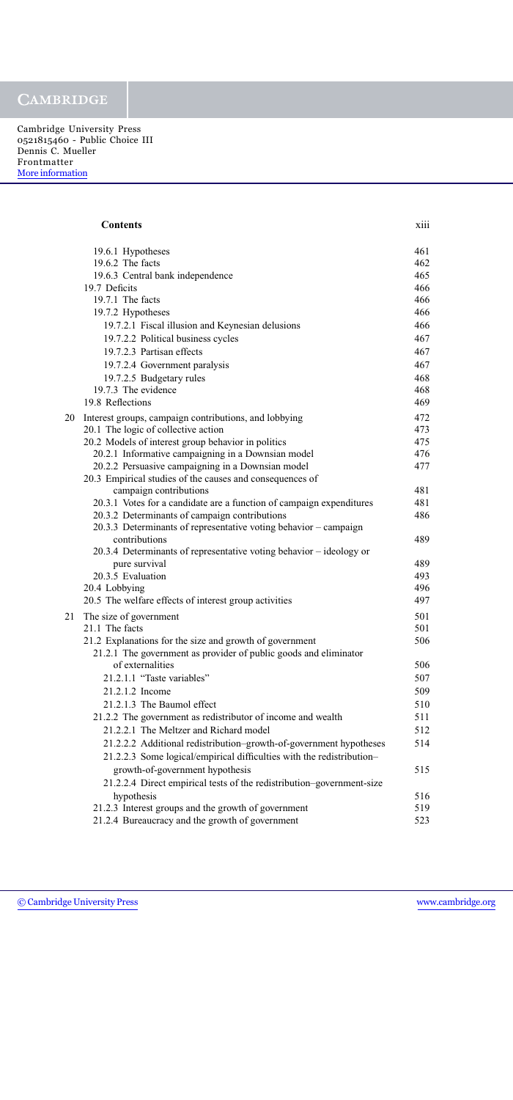|    | <b>Contents</b>                                                       | xiii |
|----|-----------------------------------------------------------------------|------|
|    | 19.6.1 Hypotheses                                                     | 461  |
|    | 19.6.2 The facts                                                      | 462  |
|    | 19.6.3 Central bank independence                                      | 465  |
|    | 19.7 Deficits                                                         | 466  |
|    | 19.7.1 The facts                                                      | 466  |
|    | 19.7.2 Hypotheses                                                     | 466  |
|    | 19.7.2.1 Fiscal illusion and Keynesian delusions                      | 466  |
|    | 19.7.2.2 Political business cycles                                    | 467  |
|    | 19.7.2.3 Partisan effects                                             | 467  |
|    | 19.7.2.4 Government paralysis                                         | 467  |
|    | 19.7.2.5 Budgetary rules                                              | 468  |
|    | 19.7.3 The evidence                                                   | 468  |
|    | 19.8 Reflections                                                      | 469  |
| 20 | Interest groups, campaign contributions, and lobbying                 | 472  |
|    | 20.1 The logic of collective action                                   | 473  |
|    | 20.2 Models of interest group behavior in politics                    | 475  |
|    | 20.2.1 Informative campaigning in a Downsian model                    | 476  |
|    | 20.2.2 Persuasive campaigning in a Downsian model                     | 477  |
|    | 20.3 Empirical studies of the causes and consequences of              |      |
|    | campaign contributions                                                | 481  |
|    | 20.3.1 Votes for a candidate are a function of campaign expenditures  | 481  |
|    | 20.3.2 Determinants of campaign contributions                         | 486  |
|    | 20.3.3 Determinants of representative voting behavior - campaign      |      |
|    | contributions                                                         | 489  |
|    | 20.3.4 Determinants of representative voting behavior – ideology or   |      |
|    | pure survival                                                         | 489  |
|    | 20.3.5 Evaluation                                                     | 493  |
|    | 20.4 Lobbying                                                         | 496  |
|    | 20.5 The welfare effects of interest group activities                 | 497  |
| 21 | The size of government                                                | 501  |
|    | 21.1 The facts                                                        | 501  |
|    | 21.2 Explanations for the size and growth of government               | 506  |
|    | 21.2.1 The government as provider of public goods and eliminator      |      |
|    | of externalities                                                      | 506  |
|    | 21.2.1.1 "Taste variables"                                            | 507  |
|    | 21.2.1.2 Income                                                       | 509  |
|    | 21.2.1.3 The Baumol effect                                            | 510  |
|    | 21.2.2 The government as redistributor of income and wealth           | 511  |
|    | 21.2.2.1 The Meltzer and Richard model                                | 512  |
|    | 21.2.2.2 Additional redistribution-growth-of-government hypotheses    | 514  |
|    | 21.2.2.3 Some logical/empirical difficulties with the redistribution- |      |
|    | growth-of-government hypothesis                                       | 515  |
|    | 21.2.2.4 Direct empirical tests of the redistribution-government-size |      |
|    | hypothesis                                                            | 516  |
|    | 21.2.3 Interest groups and the growth of government                   | 519  |
|    | 21.2.4 Bureaucracy and the growth of government                       | 523  |
|    |                                                                       |      |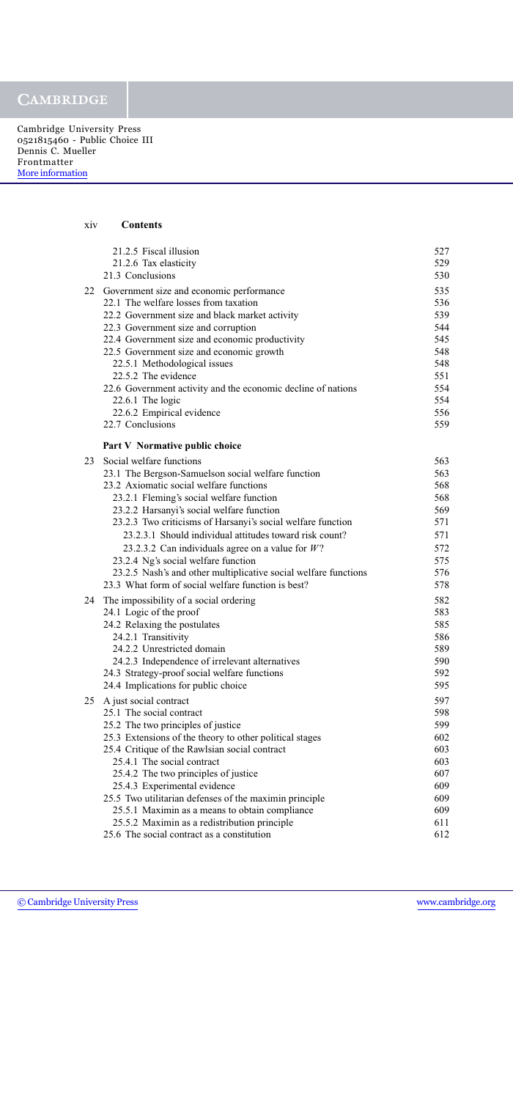#### xiv **Contents**

|    | 21.2.5 Fiscal illusion                                          | 527 |
|----|-----------------------------------------------------------------|-----|
|    | 21.2.6 Tax elasticity                                           | 529 |
|    | 21.3 Conclusions                                                | 530 |
| 22 | Government size and economic performance                        | 535 |
|    | 22.1 The welfare losses from taxation                           | 536 |
|    | 22.2 Government size and black market activity                  | 539 |
|    | 22.3 Government size and corruption                             | 544 |
|    | 22.4 Government size and economic productivity                  | 545 |
|    | 22.5 Government size and economic growth                        | 548 |
|    | 22.5.1 Methodological issues                                    | 548 |
|    | 22.5.2 The evidence                                             | 551 |
|    | 22.6 Government activity and the economic decline of nations    | 554 |
|    | $22.6.1$ The logic                                              | 554 |
|    | 22.6.2 Empirical evidence                                       | 556 |
|    | 22.7 Conclusions                                                | 559 |
|    | Part V Normative public choice                                  |     |
| 23 | Social welfare functions                                        | 563 |
|    | 23.1 The Bergson-Samuelson social welfare function              | 563 |
|    | 23.2 Axiomatic social welfare functions                         | 568 |
|    | 23.2.1 Fleming's social welfare function                        | 568 |
|    | 23.2.2 Harsanyi's social welfare function                       | 569 |
|    | 23.2.3 Two criticisms of Harsanyi's social welfare function     | 571 |
|    | 23.2.3.1 Should individual attitudes toward risk count?         | 571 |
|    | 23.2.3.2 Can individuals agree on a value for $W$ ?             | 572 |
|    | 23.2.4 Ng's social welfare function                             | 575 |
|    | 23.2.5 Nash's and other multiplicative social welfare functions | 576 |
|    | 23.3 What form of social welfare function is best?              | 578 |
| 24 | The impossibility of a social ordering                          | 582 |
|    | 24.1 Logic of the proof                                         | 583 |
|    | 24.2 Relaxing the postulates                                    | 585 |
|    | 24.2.1 Transitivity                                             | 586 |
|    | 24.2.2 Unrestricted domain                                      | 589 |
|    | 24.2.3 Independence of irrelevant alternatives                  | 590 |
|    | 24.3 Strategy-proof social welfare functions                    | 592 |
|    | 24.4 Implications for public choice                             | 595 |
|    | 25 A just social contract                                       | 597 |
|    | 25.1 The social contract                                        | 598 |
|    | 25.2 The two principles of justice                              | 599 |
|    | 25.3 Extensions of the theory to other political stages         | 602 |
|    | 25.4 Critique of the Rawlsian social contract                   | 603 |
|    | 25.4.1 The social contract                                      | 603 |
|    | 25.4.2 The two principles of justice                            | 607 |
|    | 25.4.3 Experimental evidence                                    | 609 |
|    | 25.5 Two utilitarian defenses of the maximin principle          | 609 |
|    | 25.5.1 Maximin as a means to obtain compliance                  | 609 |
|    | 25.5.2 Maximin as a redistribution principle                    | 611 |
|    | 25.6 The social contract as a constitution                      | 612 |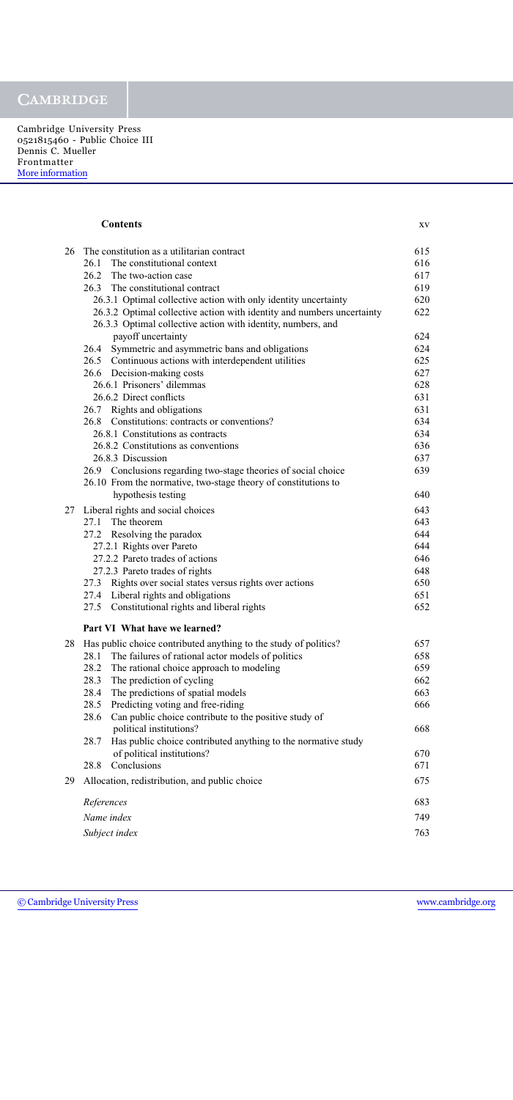| XV |
|----|
|    |

| 26 |                   | The constitution as a utilitarian contract                             | 615 |
|----|-------------------|------------------------------------------------------------------------|-----|
|    | 26.1              | The constitutional context                                             | 616 |
|    | 26.2              | The two-action case                                                    | 617 |
|    |                   | 26.3 The constitutional contract                                       | 619 |
|    |                   | 26.3.1 Optimal collective action with only identity uncertainty        | 620 |
|    |                   | 26.3.2 Optimal collective action with identity and numbers uncertainty | 622 |
|    |                   | 26.3.3 Optimal collective action with identity, numbers, and           |     |
|    |                   | payoff uncertainty                                                     | 624 |
|    | 26.4              | Symmetric and asymmetric bans and obligations                          | 624 |
|    |                   | 26.5 Continuous actions with interdependent utilities                  | 625 |
|    |                   | 26.6 Decision-making costs                                             | 627 |
|    |                   | 26.6.1 Prisoners' dilemmas                                             | 628 |
|    |                   | 26.6.2 Direct conflicts                                                | 631 |
|    |                   | 26.7 Rights and obligations                                            | 631 |
|    |                   | 26.8 Constitutions: contracts or conventions?                          | 634 |
|    |                   | 26.8.1 Constitutions as contracts                                      | 634 |
|    |                   | 26.8.2 Constitutions as conventions                                    | 636 |
|    | 26.8.3 Discussion |                                                                        | 637 |
|    |                   | 26.9 Conclusions regarding two-stage theories of social choice         | 639 |
|    |                   | 26.10 From the normative, two-stage theory of constitutions to         |     |
|    |                   | hypothesis testing                                                     | 640 |
| 27 |                   | Liberal rights and social choices                                      | 643 |
|    | 27.1 The theorem  |                                                                        | 643 |
|    |                   | 27.2 Resolving the paradox                                             | 644 |
|    |                   | 27.2.1 Rights over Pareto                                              | 644 |
|    |                   | 27.2.2 Pareto trades of actions                                        | 646 |
|    |                   | 27.2.3 Pareto trades of rights                                         | 648 |
|    |                   | 27.3 Rights over social states versus rights over actions              | 650 |
|    |                   | 27.4 Liberal rights and obligations                                    | 651 |
|    |                   | 27.5 Constitutional rights and liberal rights                          | 652 |
|    |                   | Part VI What have we learned?                                          |     |
| 28 |                   | Has public choice contributed anything to the study of politics?       | 657 |
|    | 28.1              | The failures of rational actor models of politics                      | 658 |
|    |                   | 28.2 The rational choice approach to modeling                          | 659 |
|    | 28.3              | The prediction of cycling                                              | 662 |
|    | 28.4              | The predictions of spatial models                                      | 663 |
|    | 28.5              | Predicting voting and free-riding                                      | 666 |
|    | 28.6              | Can public choice contribute to the positive study of                  |     |
|    |                   | political institutions?                                                | 668 |
|    | 28.7              | Has public choice contributed anything to the normative study          |     |
|    |                   | of political institutions?                                             | 670 |
|    | 28.8              | Conclusions                                                            | 671 |
| 29 |                   | Allocation, redistribution, and public choice                          | 675 |
|    |                   |                                                                        |     |
|    | References        |                                                                        | 683 |
|    | Name index        |                                                                        | 749 |
|    | Subject index     |                                                                        | 763 |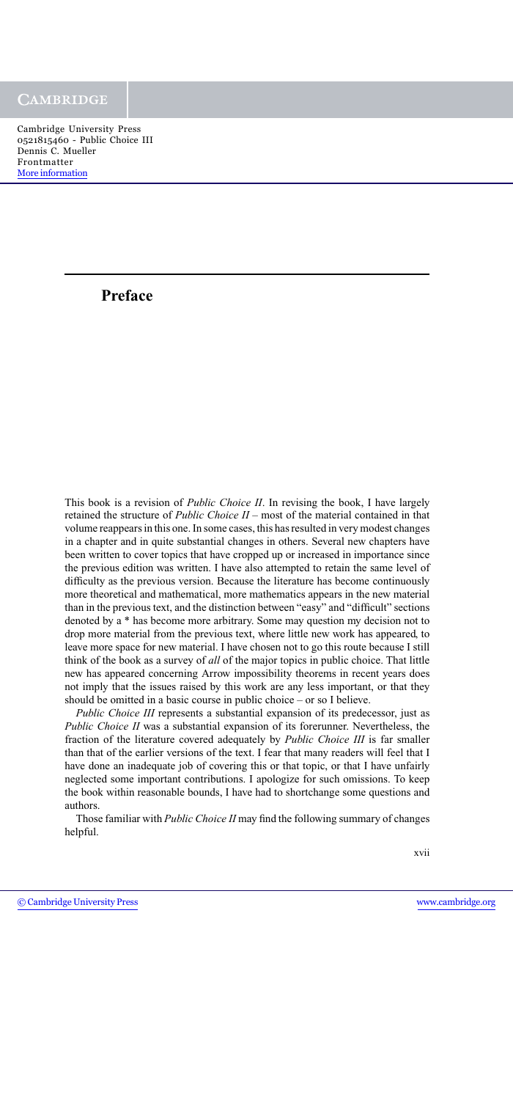### **Preface**

This book is a revision of *Public Choice II*. In revising the book, I have largely retained the structure of *Public Choice II* – most of the material contained in that volume reappears in this one. In some cases, this has resulted in very modest changes in a chapter and in quite substantial changes in others. Several new chapters have been written to cover topics that have cropped up or increased in importance since the previous edition was written. I have also attempted to retain the same level of difficulty as the previous version. Because the literature has become continuously more theoretical and mathematical, more mathematics appears in the new material than in the previous text, and the distinction between "easy" and "difficult" sections denoted by a \* has become more arbitrary. Some may question my decision not to drop more material from the previous text, where little new work has appeared, to leave more space for new material. I have chosen not to go this route because I still think of the book as a survey of *all* of the major topics in public choice. That little new has appeared concerning Arrow impossibility theorems in recent years does not imply that the issues raised by this work are any less important, or that they should be omitted in a basic course in public choice – or so I believe.

*Public Choice III* represents a substantial expansion of its predecessor, just as *Public Choice II* was a substantial expansion of its forerunner. Nevertheless, the fraction of the literature covered adequately by *Public Choice III* is far smaller than that of the earlier versions of the text. I fear that many readers will feel that I have done an inadequate job of covering this or that topic, or that I have unfairly neglected some important contributions. I apologize for such omissions. To keep the book within reasonable bounds, I have had to shortchange some questions and authors.

Those familiar with *Public Choice II* may find the following summary of changes helpful.

xvii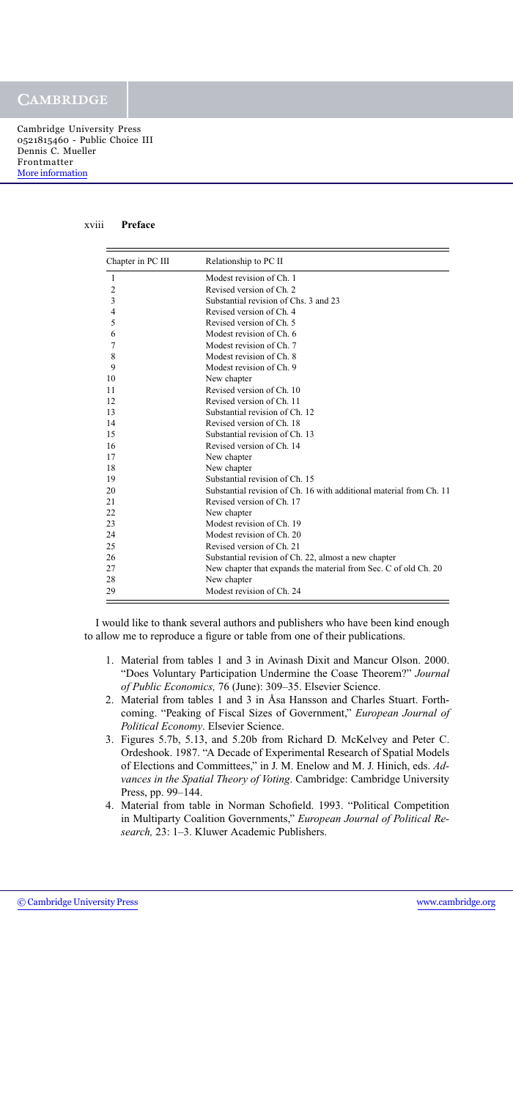| Chapter in PC III | Relationship to PC II                                               |
|-------------------|---------------------------------------------------------------------|
| 1                 | Modest revision of Ch. 1                                            |
| $\overline{c}$    | Revised version of Ch. 2                                            |
| 3                 | Substantial revision of Chs. 3 and 23                               |
| $\overline{4}$    | Revised version of Ch. 4                                            |
| 5                 | Revised version of Ch. 5                                            |
| 6                 | Modest revision of Ch. 6                                            |
| 7                 | Modest revision of Ch. 7                                            |
| 8                 | Modest revision of Ch. 8                                            |
| 9                 | Modest revision of Ch. 9                                            |
| 10                | New chapter                                                         |
| 11                | Revised version of Ch. 10                                           |
| 12                | Revised version of Ch. 11                                           |
| 13                | Substantial revision of Ch. 12                                      |
| 14                | Revised version of Ch. 18                                           |
| 15                | Substantial revision of Ch. 13                                      |
| 16                | Revised version of Ch. 14                                           |
| 17                | New chapter                                                         |
| 18                | New chapter                                                         |
| 19                | Substantial revision of Ch. 15                                      |
| 20                | Substantial revision of Ch. 16 with additional material from Ch. 11 |
| 21                | Revised version of Ch. 17                                           |
| 22                | New chapter                                                         |
| 23                | Modest revision of Ch. 19                                           |
| 24                | Modest revision of Ch. 20                                           |
| 25                | Revised version of Ch. 21                                           |
| 26                | Substantial revision of Ch. 22, almost a new chapter                |
| 27                | New chapter that expands the material from Sec. C of old Ch. 20     |
| 28                | New chapter                                                         |
| 29                | Modest revision of Ch. 24                                           |

#### xviii **Preface**

I would like to thank several authors and publishers who have been kind enough to allow me to reproduce a figure or table from one of their publications.

- 1. Material from tables 1 and 3 in Avinash Dixit and Mancur Olson. 2000. "Does Voluntary Participation Undermine the Coase Theorem?" *Journal of Public Economics,* 76 (June): 309–35. Elsevier Science.
- 2. Material from tables 1 and 3 in Åsa Hansson and Charles Stuart. Forthcoming. "Peaking of Fiscal Sizes of Government," *European Journal of Political Economy*. Elsevier Science.
- 3. Figures 5.7b, 5.13, and 5.20b from Richard D. McKelvey and Peter C. Ordeshook. 1987. "A Decade of Experimental Research of Spatial Models of Elections and Committees," in J. M. Enelow and M. J. Hinich, eds. *Advances in the Spatial Theory of Voting*. Cambridge: Cambridge University Press, pp. 99–144.
- 4. Material from table in Norman Schofield. 1993. "Political Competition in Multiparty Coalition Governments," *European Journal of Political Research,* 23: 1–3. Kluwer Academic Publishers.